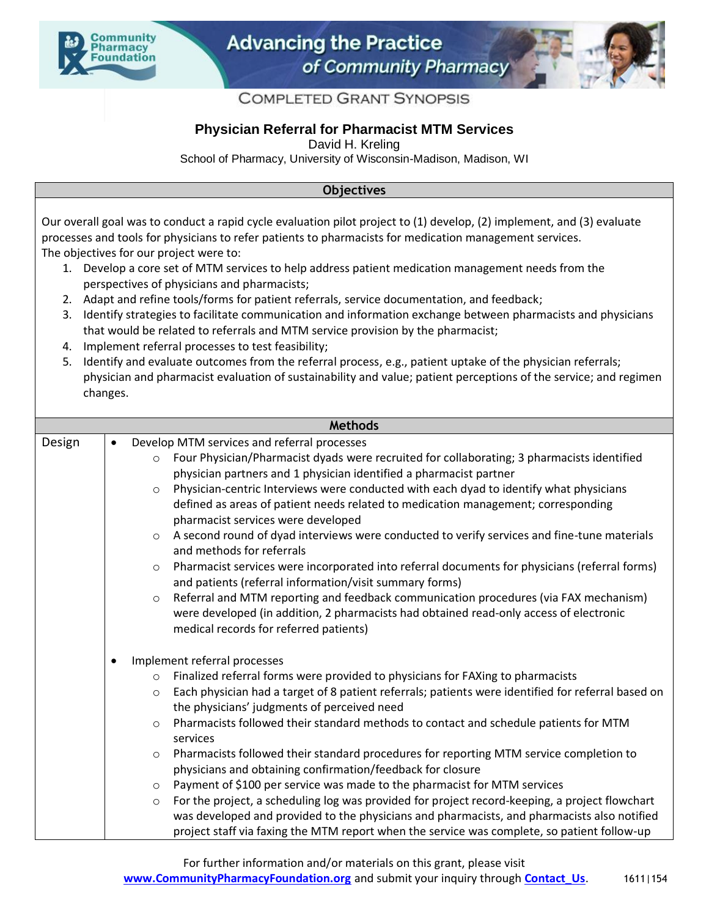



## **COMPLETED GRANT SYNOPSIS**

## **Physician Referral for Pharmacist MTM Services**

David H. Kreling

School of Pharmacy, University of Wisconsin-Madison, Madison, WI

## **Objectives**

Our overall goal was to conduct a rapid cycle evaluation pilot project to (1) develop, (2) implement, and (3) evaluate processes and tools for physicians to refer patients to pharmacists for medication management services. The objectives for our project were to:

- 1. Develop a core set of MTM services to help address patient medication management needs from the perspectives of physicians and pharmacists;
- 2. Adapt and refine tools/forms for patient referrals, service documentation, and feedback;
- 3. Identify strategies to facilitate communication and information exchange between pharmacists and physicians that would be related to referrals and MTM service provision by the pharmacist;
- 4. Implement referral processes to test feasibility;
- 5. Identify and evaluate outcomes from the referral process, e.g., patient uptake of the physician referrals; physician and pharmacist evaluation of sustainability and value; patient perceptions of the service; and regimen changes.

| <b>Methods</b>      |                                                                                                               |  |
|---------------------|---------------------------------------------------------------------------------------------------------------|--|
| Design<br>$\bullet$ | Develop MTM services and referral processes                                                                   |  |
|                     | Four Physician/Pharmacist dyads were recruited for collaborating; 3 pharmacists identified<br>$\circ$         |  |
|                     | physician partners and 1 physician identified a pharmacist partner                                            |  |
|                     | Physician-centric Interviews were conducted with each dyad to identify what physicians<br>$\circ$             |  |
|                     | defined as areas of patient needs related to medication management; corresponding                             |  |
|                     | pharmacist services were developed                                                                            |  |
|                     | A second round of dyad interviews were conducted to verify services and fine-tune materials<br>$\circ$        |  |
|                     | and methods for referrals                                                                                     |  |
|                     | Pharmacist services were incorporated into referral documents for physicians (referral forms)<br>$\circ$      |  |
|                     | and patients (referral information/visit summary forms)                                                       |  |
|                     | Referral and MTM reporting and feedback communication procedures (via FAX mechanism)<br>$\circ$               |  |
|                     | were developed (in addition, 2 pharmacists had obtained read-only access of electronic                        |  |
|                     | medical records for referred patients)                                                                        |  |
| $\bullet$           | Implement referral processes                                                                                  |  |
|                     | Finalized referral forms were provided to physicians for FAXing to pharmacists<br>$\circ$                     |  |
|                     | Each physician had a target of 8 patient referrals; patients were identified for referral based on<br>$\circ$ |  |
|                     | the physicians' judgments of perceived need                                                                   |  |
|                     | Pharmacists followed their standard methods to contact and schedule patients for MTM<br>$\circ$               |  |
|                     | services                                                                                                      |  |
|                     | Pharmacists followed their standard procedures for reporting MTM service completion to<br>$\circ$             |  |
|                     | physicians and obtaining confirmation/feedback for closure                                                    |  |
|                     | Payment of \$100 per service was made to the pharmacist for MTM services<br>$\circ$                           |  |
|                     | For the project, a scheduling log was provided for project record-keeping, a project flowchart<br>$\circ$     |  |
|                     | was developed and provided to the physicians and pharmacists, and pharmacists also notified                   |  |
|                     | project staff via faxing the MTM report when the service was complete, so patient follow-up                   |  |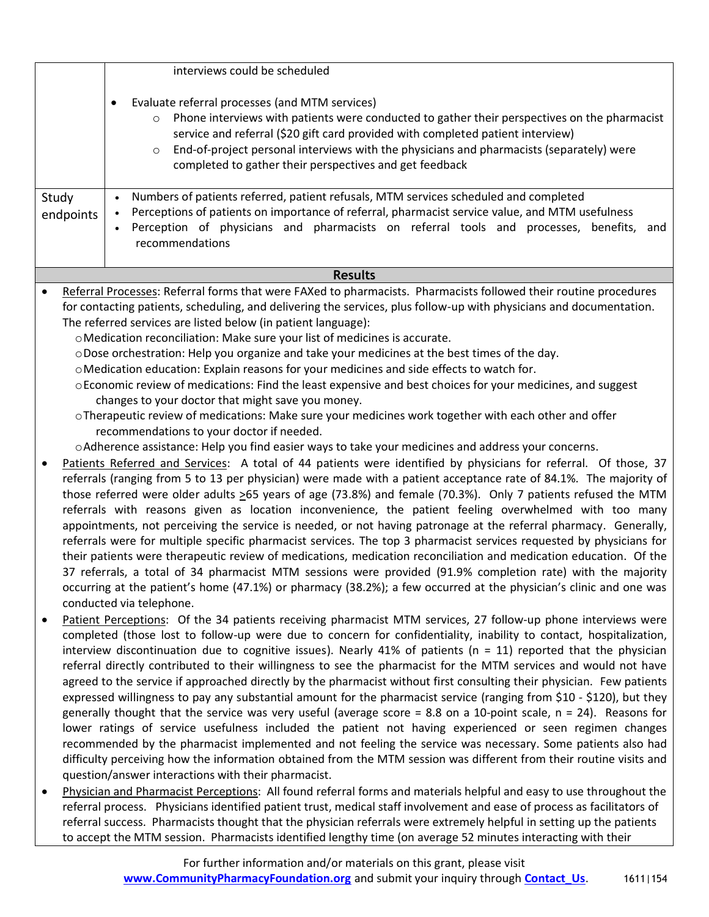|                                                                                                                               |                                                                                                                     | interviews could be scheduled                                                                                           |
|-------------------------------------------------------------------------------------------------------------------------------|---------------------------------------------------------------------------------------------------------------------|-------------------------------------------------------------------------------------------------------------------------|
|                                                                                                                               |                                                                                                                     | Evaluate referral processes (and MTM services)<br>$\bullet$                                                             |
|                                                                                                                               |                                                                                                                     | Phone interviews with patients were conducted to gather their perspectives on the pharmacist                            |
|                                                                                                                               |                                                                                                                     | service and referral (\$20 gift card provided with completed patient interview)                                         |
|                                                                                                                               |                                                                                                                     | End-of-project personal interviews with the physicians and pharmacists (separately) were<br>$\circ$                     |
|                                                                                                                               |                                                                                                                     | completed to gather their perspectives and get feedback                                                                 |
|                                                                                                                               |                                                                                                                     |                                                                                                                         |
|                                                                                                                               |                                                                                                                     | Numbers of patients referred, patient refusals, MTM services scheduled and completed<br>$\bullet$                       |
| Study                                                                                                                         |                                                                                                                     | Perceptions of patients on importance of referral, pharmacist service value, and MTM usefulness<br>$\bullet$            |
| endpoints                                                                                                                     |                                                                                                                     | Perception of physicians and pharmacists on referral tools and processes, benefits,<br>and                              |
|                                                                                                                               |                                                                                                                     | recommendations                                                                                                         |
|                                                                                                                               |                                                                                                                     |                                                                                                                         |
| <b>Results</b>                                                                                                                |                                                                                                                     |                                                                                                                         |
| Referral Processes: Referral forms that were FAXed to pharmacists. Pharmacists followed their routine procedures<br>$\bullet$ |                                                                                                                     |                                                                                                                         |
|                                                                                                                               | for contacting patients, scheduling, and delivering the services, plus follow-up with physicians and documentation. |                                                                                                                         |
|                                                                                                                               | The referred services are listed below (in patient language):                                                       |                                                                                                                         |
|                                                                                                                               | o Medication reconciliation: Make sure your list of medicines is accurate.                                          |                                                                                                                         |
|                                                                                                                               |                                                                                                                     | oDose orchestration: Help you organize and take your medicines at the best times of the day.                            |
|                                                                                                                               |                                                                                                                     | o Medication education: Explain reasons for your medicines and side effects to watch for.                               |
|                                                                                                                               | o Economic review of medications: Find the least expensive and best choices for your medicines, and suggest         |                                                                                                                         |
|                                                                                                                               |                                                                                                                     | changes to your doctor that might save you money.                                                                       |
|                                                                                                                               |                                                                                                                     | o Therapeutic review of medications: Make sure your medicines work together with each other and offer                   |
|                                                                                                                               |                                                                                                                     | recommendations to your doctor if needed.                                                                               |
|                                                                                                                               |                                                                                                                     | o Adherence assistance: Help you find easier ways to take your medicines and address your concerns.                     |
|                                                                                                                               |                                                                                                                     | Patients Referred and Services: A total of 44 patients were identified by physicians for referral. Of those, 37         |
|                                                                                                                               | referrals (ranging from 5 to 13 per physician) were made with a patient acceptance rate of 84.1%. The majority of   |                                                                                                                         |
|                                                                                                                               |                                                                                                                     | those referred were older adults $\geq$ 65 years of age (73.8%) and female (70.3%). Only 7 patients refused the MTM     |
|                                                                                                                               |                                                                                                                     | referrals with reasons given as location inconvenience, the patient feeling overwhelmed with too many                   |
|                                                                                                                               |                                                                                                                     | appointments, not perceiving the service is needed, or not having patronage at the referral pharmacy. Generally,        |
|                                                                                                                               |                                                                                                                     | referrals were for multiple specific pharmacist services. The top 3 pharmacist services requested by physicians for     |
|                                                                                                                               |                                                                                                                     | their patients were therapeutic review of medications, medication reconciliation and medication education. Of the       |
|                                                                                                                               |                                                                                                                     | 37 referrals, a total of 34 pharmacist MTM sessions were provided (91.9% completion rate) with the majority             |
|                                                                                                                               |                                                                                                                     | occurring at the patient's home (47.1%) or pharmacy (38.2%); a few occurred at the physician's clinic and one was       |
|                                                                                                                               |                                                                                                                     | conducted via telephone.                                                                                                |
| $\bullet$                                                                                                                     |                                                                                                                     | Patient Perceptions: Of the 34 patients receiving pharmacist MTM services, 27 follow-up phone interviews were           |
|                                                                                                                               |                                                                                                                     | completed (those lost to follow-up were due to concern for confidentiality, inability to contact, hospitalization,      |
|                                                                                                                               |                                                                                                                     | interview discontinuation due to cognitive issues). Nearly 41% of patients ( $n = 11$ ) reported that the physician     |
|                                                                                                                               |                                                                                                                     | referral directly contributed to their willingness to see the pharmacist for the MTM services and would not have        |
|                                                                                                                               |                                                                                                                     | agreed to the service if approached directly by the pharmacist without first consulting their physician. Few patients   |
|                                                                                                                               |                                                                                                                     | expressed willingness to pay any substantial amount for the pharmacist service (ranging from \$10 - \$120), but they    |
|                                                                                                                               |                                                                                                                     | generally thought that the service was very useful (average score = 8.8 on a 10-point scale, $n = 24$ ). Reasons for    |
|                                                                                                                               |                                                                                                                     | lower ratings of service usefulness included the patient not having experienced or seen regimen changes                 |
|                                                                                                                               |                                                                                                                     | recommended by the pharmacist implemented and not feeling the service was necessary. Some patients also had             |
|                                                                                                                               |                                                                                                                     | difficulty perceiving how the information obtained from the MTM session was different from their routine visits and     |
|                                                                                                                               |                                                                                                                     | question/answer interactions with their pharmacist.                                                                     |
| $\bullet$                                                                                                                     |                                                                                                                     | Physician and Pharmacist Perceptions: All found referral forms and materials helpful and easy to use throughout the     |
|                                                                                                                               |                                                                                                                     | referral process. Physicians identified patient trust, medical staff involvement and ease of process as facilitators of |
|                                                                                                                               |                                                                                                                     | referral success. Pharmacists thought that the physician referrals were extremely helpful in setting up the patients    |
|                                                                                                                               |                                                                                                                     | to accept the MTM session. Pharmacists identified lengthy time (on average 52 minutes interacting with their            |